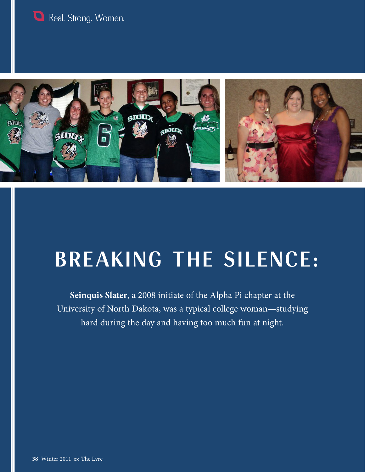



# **BREAKING THE SILENCE:**

**Seinquis Slater**, a 2008 initiate of the Alpha Pi chapter at the University of North Dakota, was a typical college woman—studying hard during the day and having too much fun at night.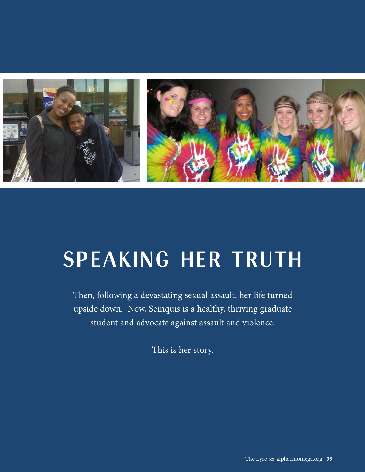

# **SPEAKING HER TRUTH**

Then, following a devastating sexual assault, her life turned upside down. Now, Seinquis is a healthy, thriving graduate student and advocate against assault and violence.

This is her story.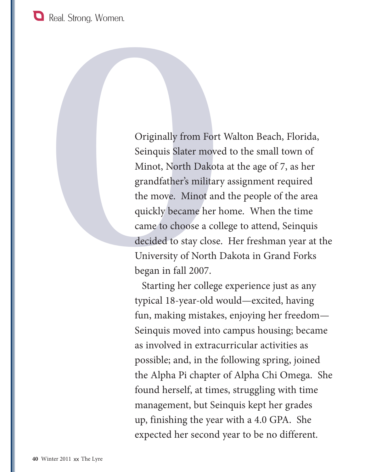**Q** Real. Strong. Women.

Originally from Fort<br>Seinquis Slater move<br>Minot, North Dakota<br>grandfather's military<br>the move. Minot and<br>quickly became her h<br>came to choose a col<br>decided to stay close.<br>University of North I<br>began in fall 2007.<br>Starting h Originally from Fort Walton Beach, Florida, Seinquis Slater moved to the small town of Minot, North Dakota at the age of 7, as her grandfather's military assignment required the move. Minot and the people of the area quickly became her home. When the time came to choose a college to attend, Seinquis decided to stay close. Her freshman year at the University of North Dakota in Grand Forks began in fall 2007.

Starting her college experience just as any typical 18-year-old would—excited, having fun, making mistakes, enjoying her freedom— Seinquis moved into campus housing; became as involved in extracurricular activities as possible; and, in the following spring, joined the Alpha Pi chapter of Alpha Chi Omega. She found herself, at times, struggling with time management, but Seinquis kept her grades up, finishing the year with a 4.0 GPA. She expected her second year to be no different.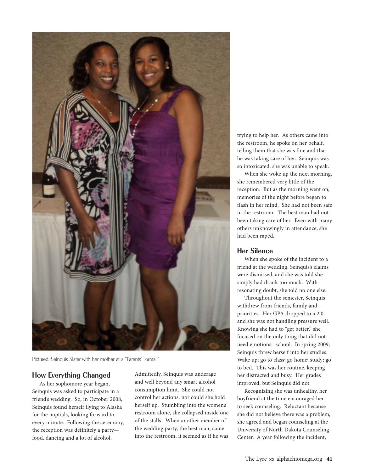

Pictured: Seinquis Slater with her mother at a "Parents' Formal."

#### **How Everything Changed**

As her sophomore year began, Seinquis was asked to participate in a friend's wedding. So, in October 2008, Seinquis found herself flying to Alaska for the nuptials, looking forward to every minute. Following the ceremony, the reception was definitely a party food, dancing and a lot of alcohol.

Admittedly, Seinquis was underage and well beyond any smart alcohol consumption limit. She could not control her actions, nor could she hold herself up. Stumbling into the women's restroom alone, she collapsed inside one of the stalls. When another member of the wedding party, the best man, came into the restroom, it seemed as if he was trying to help her. As others came into the restroom, he spoke on her behalf, telling them that she was fine and that he was taking care of her. Seinquis was so intoxicated, she was unable to speak.

When she woke up the next morning, she remembered very little of the reception. But as the morning went on, memories of the night before began to flash in her mind. She had not been safe in the restroom. The best man had not been taking care of her. Even with many others unknowingly in attendance, she had been raped.

#### **Her Silence**

When she spoke of the incident to a friend at the wedding, Seinquis's claims were dismissed, and she was told she simply had drank too much. With resonating doubt, she told no one else.

Throughout the semester, Seinquis withdrew from friends, family and priorities. Her GPA dropped to a 2.0 and she was not handling pressure well. Knowing she had to "get better," she focused on the only thing that did not need emotions: school. In spring 2009, Seinquis threw herself into her studies. Wake up; go to class; go home; study; go to bed. This was her routine, keeping her distracted and busy. Her grades improved, but Seinquis did not.

Recognizing she was unhealthy, her boyfriend at the time encouraged her to seek counseling. Reluctant because she did not believe there was a problem, she agreed and began counseling at the University of North Dakota Counseling Center. A year following the incident,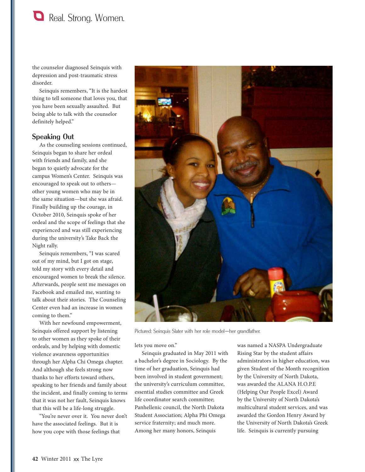the counselor diagnosed Seinquis with depression and post-traumatic stress disorder.

Seinquis remembers, "It is the hardest thing to tell someone that loves you, that you have been sexually assaulted. But being able to talk with the counselor definitely helped."

#### **Speaking Out**

As the counseling sessions continued, Seinquis began to share her ordeal with friends and family, and she began to quietly advocate for the campus Women's Center. Seinquis was encouraged to speak out to others other young women who may be in the same situation—but she was afraid. Finally building up the courage, in October 2010, Seinquis spoke of her ordeal and the scope of feelings that she experienced and was still experiencing during the university's Take Back the Night rally.

Seinquis remembers, "I was scared out of my mind, but I got on stage, told my story with every detail and encouraged women to break the silence. Afterwards, people sent me messages on Facebook and emailed me, wanting to talk about their stories. The Counseling Center even had an increase in women coming to them."

With her newfound empowerment, Seinquis offered support by listening to other women as they spoke of their ordeals, and by helping with domestic violence awareness opportunities through her Alpha Chi Omega chapter. And although she feels strong now thanks to her efforts toward others, speaking to her friends and family about the incident, and finally coming to terms that it was not her fault, Seinquis knows that this will be a life-long struggle.

"You're never over it. You never don't have the associated feelings. But it is how you cope with those feelings that



Pictured: Seinquis Slater with her role model—her grandfather.

lets you move on."

Seinquis graduated in May 2011 with a bachelor's degree in Sociology. By the time of her graduation, Seinquis had been involved in student government; the university's curriculum committee, essential studies committee and Greek life coordinator search committee; Panhellenic council, the North Dakota Student Association; Alpha Phi Omega service fraternity; and much more. Among her many honors, Seinquis

was named a NASPA Undergraduate Rising Star by the student affairs administrators in higher education, was given Student of the Month recognition by the University of North Dakota, was awarded the ALANA H.O.P.E (Helping Our People Excel) Award by the University of North Dakota's multicultural student services, and was awarded the Gordon Henry Award by the University of North Dakota's Greek life. Seinquis is currently pursuing